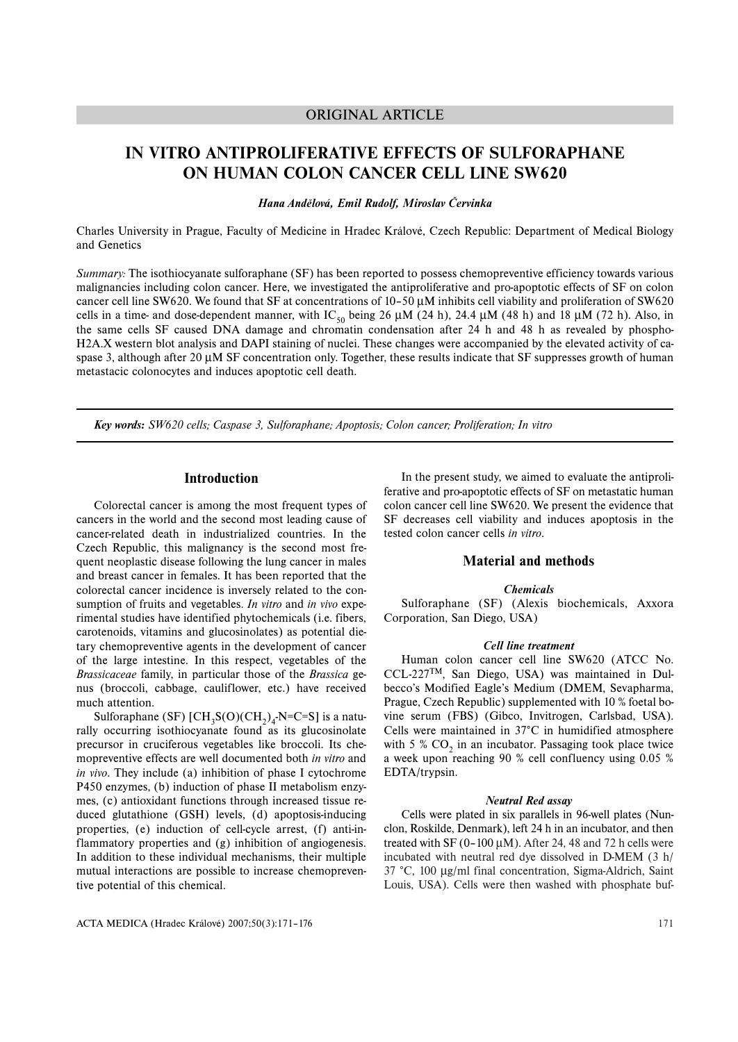# ORIGINAL ARTICLE

# **IN VITRO ANTIPROLIFERATIVE EFFECTS OF SULFORAPHANE ON HUMAN COLON CANCER CELL LINE SW620**

*Hana Andělová, Emil Rudolf, Miroslav Červinka*

Charles University in Prague, Faculty of Medicine in Hradec Králové, Czech Republic: Department of Medical Biology and Genetics

*Summary:* The isothiocyanate sulforaphane (SF) has been reported to possess chemopreventive efficiency towards various malignancies including colon cancer. Here, we investigated the antiproliferative and pro-apoptotic effects of SF on colon cancer cell line SW620. We found that SF at concentrations of 10–50 μM inhibits cell viability and proliferation of SW620 cells in a time- and dose-dependent manner, with IC<sub>50</sub> being 26  $\mu$ M (24 h), 24.4  $\mu$ M (48 h) and 18  $\mu$ M (72 h). Also, in the same cells SF caused DNA damage and chromatin condensation after 24 h and 48 h as revealed by phospho-H2A.X western blot analysis and DAPI staining of nuclei. These changes were accompanied by the elevated activity of caspase 3, although after 20 μM SF concentration only. Together, these results indicate that SF suppresses growth of human metastacic colonocytes and induces apoptotic cell death.

*Key words: SW620 cells; Caspase 3, Sulforaphane; Apoptosis; Colon cancer; Proliferation; In vitro*

## **Introduction**

Colorectal cancer is among the most frequent types of cancers in the world and the second most leading cause of cancer-related death in industrialized countries. In the Czech Republic, this malignancy is the second most frequent neoplastic disease following the lung cancer in males and breast cancer in females. It has been reported that the colorectal cancer incidence is inversely related to the consumption of fruits and vegetables. *In vitro* and *in vivo* experimental studies have identified phytochemicals (i.e. fibers, carotenoids, vitamins and glucosinolates) as potential dietary chemopreventive agents in the development of cancer of the large intestine. In this respect, vegetables of the *Brassicaceae* family, in particular those of the *Brassica* genus (broccoli, cabbage, cauliflower, etc.) have received much attention.

Sulforaphane (SF)  $\text{[CH}_3\text{S}(O)(\text{CH}_2)_4\text{-N=}C=\text{S}$ ] is a naturally occurring isothiocyanate found as its glucosinolate precursor in cruciferous vegetables like broccoli. Its chemopreventive effects are well documented both *in vitro* and *in vivo*. They include (a) inhibition of phase I cytochrome P450 enzymes, (b) induction of phase II metabolism enzymes, (c) antioxidant functions through increased tissue reduced glutathione (GSH) levels, (d) apoptosis-inducing properties, (e) induction of cell-cycle arrest, (f) anti-inflammatory properties and (g) inhibition of angiogenesis. In addition to these individual mechanisms, their multiple mutual interactions are possible to increase chemopreventive potential of this chemical.

ACTA MEDICA (Hradec Králové) 2007;50(3):171–176

In the present study, we aimed to evaluate the antiproliferative and pro-apoptotic effects of SF on metastatic human colon cancer cell line SW620. We present the evidence that SF decreases cell viability and induces apoptosis in the tested colon cancer cells *in vitro*.

# **Material and methods**

#### *Chemicals*

Sulforaphane (SF) (Alexis biochemicals, Axxora Corporation, San Diego, USA)

#### *Cell line treatment*

Human colon cancer cell line SW620 (ATCC No. CCL-227TM, San Diego, USA) was maintained in Dulbecco's Modified Eagle's Medium (DMEM, Sevapharma, Prague, Czech Republic) supplemented with 10 % foetal bovine serum (FBS) (Gibco, Invitrogen, Carlsbad, USA). Cells were maintained in 37°C in humidified atmosphere with 5 %  $CO<sub>2</sub>$  in an incubator. Passaging took place twice a week upon reaching 90 % cell confluency using 0.05 % EDTA/trypsin.

#### *Neutral Red assay*

Cells were plated in six parallels in 96-well plates (Nunclon, Roskilde, Denmark), left 24 h in an incubator, and then treated with SF ( $0-100 \mu$ M). After 24, 48 and 72 h cells were incubated with neutral red dye dissolved in D-MEM (3 h/ 37 °C, 100 μg/ml final concentration, Sigma-Aldrich, Saint Louis, USA). Cells were then washed with phosphate buf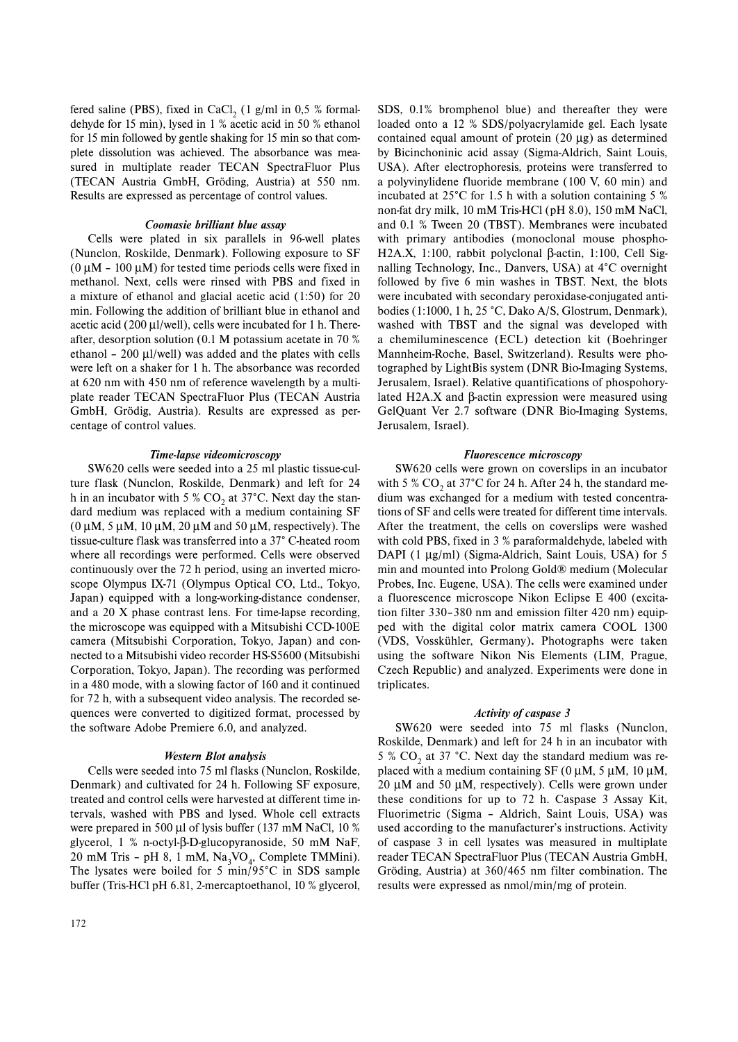fered saline (PBS), fixed in CaCl,  $(1 \text{ g/ml in } 0.5 \text{ % formal-}$ dehyde for 15 min), lysed in 1 % acetic acid in 50 % ethanol for 15 min followed by gentle shaking for 15 min so that complete dissolution was achieved. The absorbance was measured in multiplate reader TECAN SpectraFluor Plus (TECAN Austria GmbH, Gröding, Austria) at 550 nm. Results are expressed as percentage of control values.

#### *Coomasie brilliant blue assay*

Cells were plated in six parallels in 96-well plates (Nunclon, Roskilde, Denmark). Following exposure to SF  $(0 \mu M - 100 \mu M)$  for tested time periods cells were fixed in methanol. Next, cells were rinsed with PBS and fixed in a mixture of ethanol and glacial acetic acid (1:50) for 20 min. Following the addition of brilliant blue in ethanol and acetic acid (200 μl/well), cells were incubated for 1 h. Thereafter, desorption solution (0.1 M potassium acetate in 70 % ethanol – 200 μl/well) was added and the plates with cells were left on a shaker for 1 h. The absorbance was recorded at 620 nm with 450 nm of reference wavelength by a multiplate reader TECAN SpectraFluor Plus (TECAN Austria GmbH, Grödig, Austria). Results are expressed as percentage of control values.

#### *Time-lapse videomicroscopy*

SW620 cells were seeded into a 25 ml plastic tissue-culture flask (Nunclon, Roskilde, Denmark) and left for 24 h in an incubator with 5 %  $CO<sub>2</sub>$  at 37°C. Next day the standard medium was replaced with a medium containing SF (0 μM, 5 μM, 10 μM, 20 μM and 50 μM, respectively). The tissue-culture flask was transferred into a 37° C-heated room where all recordings were performed. Cells were observed continuously over the 72 h period, using an inverted microscope Olympus IX-71 (Olympus Optical CO, Ltd., Tokyo, Japan) equipped with a long-working-distance condenser, and a 20 X phase contrast lens. For time-lapse recording, the microscope was equipped with a Mitsubishi CCD-100E camera (Mitsubishi Corporation, Tokyo, Japan) and connected to a Mitsubishi video recorder HS-S5600 (Mitsubishi Corporation, Tokyo, Japan). The recording was performed in a 480 mode, with a slowing factor of 160 and it continued for 72 h, with a subsequent video analysis. The recorded sequences were converted to digitized format, processed by the software Adobe Premiere 6.0, and analyzed.

#### *Western Blot analysis*

Cells were seeded into 75 ml flasks (Nunclon, Roskilde, Denmark) and cultivated for 24 h. Following SF exposure, treated and control cells were harvested at different time intervals, washed with PBS and lysed. Whole cell extracts were prepared in 500 μl of lysis buffer (137 mM NaCl, 10 % glycerol, 1 % n-octyl-β-D-glucopyranoside, 50 mM NaF, 20 mM Tris - pH 8, 1 mM,  $\text{Na}_3\text{VO}_4$ , Complete TMMini). The lysates were boiled for 5 min/95°C in SDS sample buffer (Tris-HCl pH 6.81, 2-mercaptoethanol, 10 % glycerol, SDS, 0.1% bromphenol blue) and thereafter they were loaded onto a 12 % SDS/polyacrylamide gel. Each lysate contained equal amount of protein (20 μg) as determined by Bicinchoninic acid assay (Sigma-Aldrich, Saint Louis, USA). After electrophoresis, proteins were transferred to a polyvinylidene fluoride membrane (100 V, 60 min) and incubated at 25°C for 1.5 h with a solution containing 5 % non-fat dry milk, 10 mM Tris-HCl (pH 8.0), 150 mM NaCl, and 0.1 % Tween 20 (TBST). Membranes were incubated with primary antibodies (monoclonal mouse phospho-H2A.X, 1:100, rabbit polyclonal β-actin, 1:100, Cell Signalling Technology, Inc., Danvers, USA) at 4°C overnight followed by five 6 min washes in TBST. Next, the blots were incubated with secondary peroxidase-conjugated antibodies (1:1000, 1 h, 25 °C, Dako A/S, Glostrum, Denmark), washed with TBST and the signal was developed with a chemiluminescence (ECL) detection kit (Boehringer Mannheim-Roche, Basel, Switzerland). Results were photographed by LightBis system (DNR Bio-Imaging Systems, Jerusalem, Israel). Relative quantifications of phospohorylated H2A.X and β-actin expression were measured using GelQuant Ver 2.7 software (DNR Bio-Imaging Systems, Jerusalem, Israel).

#### *Fluorescence microscopy*

SW620 cells were grown on coverslips in an incubator with 5 %  $CO$ , at 37°C for 24 h. After 24 h, the standard medium was exchanged for a medium with tested concentrations of SF and cells were treated for different time intervals. After the treatment, the cells on coverslips were washed with cold PBS, fixed in 3 % paraformaldehyde, labeled with DAPI (1 μg/ml) (Sigma-Aldrich, Saint Louis, USA) for 5 min and mounted into Prolong Gold® medium (Molecular Probes, Inc. Eugene, USA). The cells were examined under a fluorescence microscope Nikon Eclipse E 400 (excitation filter 330–380 nm and emission filter 420 nm) equipped with the digital color matrix camera COOL 1300 (VDS, Vosskühler, Germany)**.** Photographs were taken using the software Nikon Nis Elements (LIM, Prague, Czech Republic) and analyzed. Experiments were done in triplicates.

## *Activity of caspase 3*

SW620 were seeded into 75 ml flasks (Nunclon, Roskilde, Denmark) and left for 24 h in an incubator with 5 %  $CO<sub>2</sub>$  at 37 °C. Next day the standard medium was replaced with a medium containing SF (0  $\mu$ M, 5  $\mu$ M, 10  $\mu$ M, 20 μM and 50 μM, respectively). Cells were grown under these conditions for up to 72 h. Caspase 3 Assay Kit, Fluorimetric (Sigma – Aldrich, Saint Louis, USA) was used according to the manufacturer's instructions. Activity of caspase 3 in cell lysates was measured in multiplate reader TECAN SpectraFluor Plus (TECAN Austria GmbH, Gröding, Austria) at 360/465 nm filter combination. The results were expressed as nmol/min/mg of protein.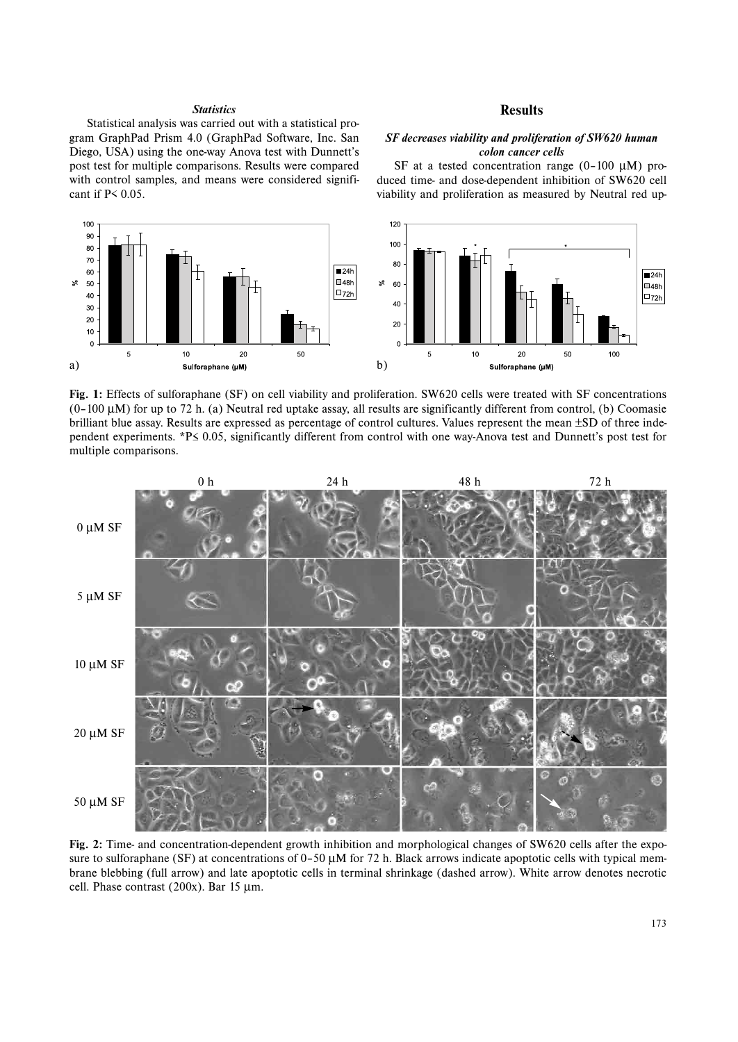## *Statistics*

Statistical analysis was carried out with a statistical program GraphPad Prism 4.0 (GraphPad Software, Inc. San Diego, USA) using the one-way Anova test with Dunnett's post test for multiple comparisons. Results were compared with control samples, and means were considered significant if P< 0.05.

## **Results**

## *SF decreases viability and proliferation of SW620 human colon cancer cells*

SF at a tested concentration range (0–100 μM) produced time- and dose-dependent inhibition of SW620 cell viability and proliferation as measured by Neutral red up-



**Fig. 1:** Effects of sulforaphane (SF) on cell viability and proliferation. SW620 cells were treated with SF concentrations  $(0-100 \mu M)$  for up to 72 h. (a) Neutral red uptake assay, all results are significantly different from control, (b) Coomasie brilliant blue assay. Results are expressed as percentage of control cultures. Values represent the mean ±SD of three independent experiments. \*P≤ 0.05, significantly different from control with one way-Anova test and Dunnett's post test for multiple comparisons.



**Fig. 2:** Time- and concentration-dependent growth inhibition and morphological changes of SW620 cells after the exposure to sulforaphane (SF) at concentrations of  $0-50 \mu M$  for 72 h. Black arrows indicate apoptotic cells with typical membrane blebbing (full arrow) and late apoptotic cells in terminal shrinkage (dashed arrow). White arrow denotes necrotic cell. Phase contrast (200x). Bar 15 μm.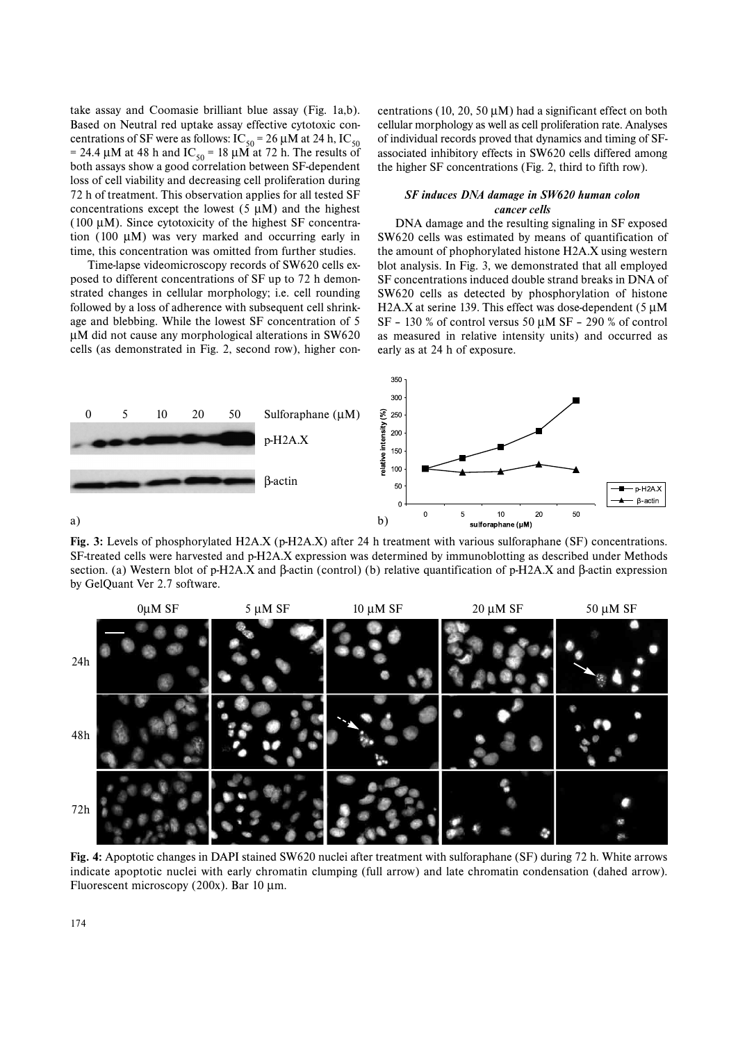take assay and Coomasie brilliant blue assay (Fig. 1a,b). Based on Neutral red uptake assay effective cytotoxic concentrations of SF were as follows:  $IC_{50} = 26 \mu M$  at 24 h,  $IC_{50}$ = 24.4 μM at 48 h and IC<sub>50</sub> = 18 μM at 72 h. The results of both assays show a good correlation between SF-dependent loss of cell viability and decreasing cell proliferation during 72 h of treatment. This observation applies for all tested SF concentrations except the lowest  $(5 \mu M)$  and the highest (100 μM). Since cytotoxicity of the highest SF concentration (100 μM) was very marked and occurring early in time, this concentration was omitted from further studies.

Time-lapse videomicroscopy records of SW620 cells exposed to different concentrations of SF up to 72 h demonstrated changes in cellular morphology; i.e. cell rounding followed by a loss of adherence with subsequent cell shrinkage and blebbing. While the lowest SF concentration of 5 μM did not cause any morphological alterations in SW620 cells (as demonstrated in Fig. 2, second row), higher concentrations (10, 20, 50  $\mu$ M) had a significant effect on both cellular morphology as well as cell proliferation rate. Analyses of individual records proved that dynamics and timing of SFassociated inhibitory effects in SW620 cells differed among the higher SF concentrations (Fig. 2, third to fifth row).

## *SF induces DNA damage in SW620 human colon cancer cells*

DNA damage and the resulting signaling in SF exposed SW620 cells was estimated by means of quantification of the amount of phophorylated histone H2A.X using western blot analysis. In Fig. 3, we demonstrated that all employed SF concentrations induced double strand breaks in DNA of SW620 cells as detected by phosphorylation of histone H2A.X at serine 139. This effect was dose-dependent  $(5 \mu M)$ SF – 130 % of control versus 50 μM SF – 290 % of control as measured in relative intensity units) and occurred as early as at 24 h of exposure.



**Fig. 3:** Levels of phosphorylated H2A.X (p-H2A.X) after 24 h treatment with various sulforaphane (SF) concentrations. SF-treated cells were harvested and p-H2A.X expression was determined by immunoblotting as described under Methods section. (a) Western blot of p-H2A.X and β-actin (control) (b) relative quantification of p-H2A.X and β-actin expression by GelQuant Ver 2.7 software.



**Fig. 4:** Apoptotic changes in DAPI stained SW620 nuclei after treatment with sulforaphane (SF) during 72 h. White arrows indicate apoptotic nuclei with early chromatin clumping (full arrow) and late chromatin condensation (dahed arrow). Fluorescent microscopy (200x). Bar 10 μm.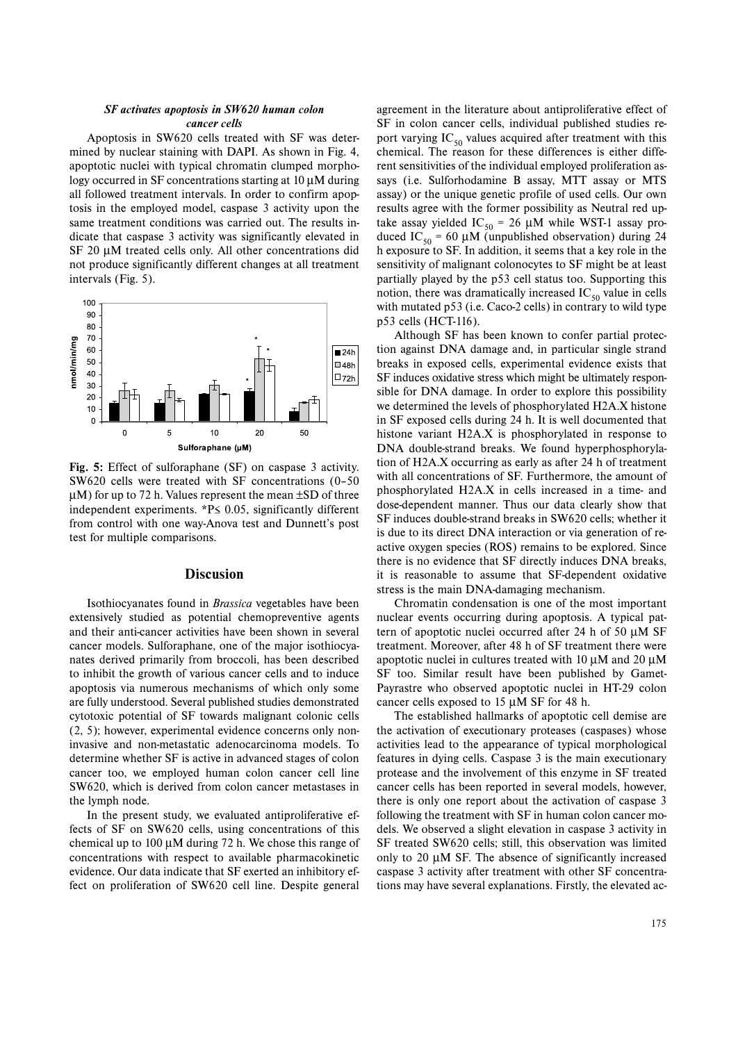### *SF activates apoptosis in SW620 human colon cancer cells*

Apoptosis in SW620 cells treated with SF was determined by nuclear staining with DAPI. As shown in Fig. 4, apoptotic nuclei with typical chromatin clumped morphology occurred in SF concentrations starting at 10 μM during all followed treatment intervals. In order to confirm apoptosis in the employed model, caspase 3 activity upon the same treatment conditions was carried out. The results indicate that caspase 3 activity was significantly elevated in SF 20 μM treated cells only. All other concentrations did not produce significantly different changes at all treatment intervals (Fig. 5).



**Fig. 5:** Effect of sulforaphane (SF) on caspase 3 activity. SW620 cells were treated with SF concentrations (0–50  $\mu$ M) for up to 72 h. Values represent the mean  $\pm$ SD of three independent experiments. \*P≤ 0.05, significantly different from control with one way-Anova test and Dunnett's post test for multiple comparisons.

## **Discusion**

Isothiocyanates found in *Brassica* vegetables have been extensively studied as potential chemopreventive agents and their anti-cancer activities have been shown in several cancer models. Sulforaphane, one of the major isothiocyanates derived primarily from broccoli, has been described to inhibit the growth of various cancer cells and to induce apoptosis via numerous mechanisms of which only some are fully understood. Several published studies demonstrated cytotoxic potential of SF towards malignant colonic cells (2, 5); however, experimental evidence concerns only noninvasive and non-metastatic adenocarcinoma models. To determine whether SF is active in advanced stages of colon cancer too, we employed human colon cancer cell line SW620, which is derived from colon cancer metastases in the lymph node.

In the present study, we evaluated antiproliferative effects of SF on SW620 cells, using concentrations of this chemical up to 100 μM during 72 h. We chose this range of concentrations with respect to available pharmacokinetic evidence. Our data indicate that SF exerted an inhibitory effect on proliferation of SW620 cell line. Despite general agreement in the literature about antiproliferative effect of SF in colon cancer cells, individual published studies report varying  $IC_{50}$  values acquired after treatment with this chemical. The reason for these differences is either different sensitivities of the individual employed proliferation assays (i.e. Sulforhodamine B assay, MTT assay or MTS assay) or the unique genetic profile of used cells. Our own results agree with the former possibility as Neutral red uptake assay yielded IC<sub>50</sub> = 26  $\mu$ M while WST-1 assay produced IC<sub>50</sub> = 60 μM (unpublished observation) during 24 h exposure to SF. In addition, it seems that a key role in the sensitivity of malignant colonocytes to SF might be at least partially played by the p53 cell status too. Supporting this notion, there was dramatically increased  $IC_{50}$  value in cells with mutated p53 (i.e. Caco-2 cells) in contrary to wild type p53 cells (HCT-116).

Although SF has been known to confer partial protection against DNA damage and, in particular single strand breaks in exposed cells, experimental evidence exists that SF induces oxidative stress which might be ultimately responsible for DNA damage. In order to explore this possibility we determined the levels of phosphorylated H2A.X histone in SF exposed cells during 24 h. It is well documented that histone variant H2A.X is phosphorylated in response to DNA double-strand breaks. We found hyperphosphorylation of H2A.X occurring as early as after 24 h of treatment with all concentrations of SF. Furthermore, the amount of phosphorylated H2A.X in cells increased in a time- and dose-dependent manner. Thus our data clearly show that SF induces double-strand breaks in SW620 cells; whether it is due to its direct DNA interaction or via generation of reactive oxygen species (ROS) remains to be explored. Since there is no evidence that SF directly induces DNA breaks, it is reasonable to assume that SF-dependent oxidative stress is the main DNA-damaging mechanism.

Chromatin condensation is one of the most important nuclear events occurring during apoptosis. A typical pattern of apoptotic nuclei occurred after 24 h of 50 μM SF treatment. Moreover, after 48 h of SF treatment there were apoptotic nuclei in cultures treated with 10 μM and 20 μM SF too. Similar result have been published by Gamet-Payrastre who observed apoptotic nuclei in HT-29 colon cancer cells exposed to 15 μM SF for 48 h.

The established hallmarks of apoptotic cell demise are the activation of executionary proteases (caspases) whose activities lead to the appearance of typical morphological features in dying cells. Caspase 3 is the main executionary protease and the involvement of this enzyme in SF treated cancer cells has been reported in several models, however, there is only one report about the activation of caspase 3 following the treatment with SF in human colon cancer models. We observed a slight elevation in caspase 3 activity in SF treated SW620 cells; still, this observation was limited only to 20  $\mu$ M SF. The absence of significantly increased caspase 3 activity after treatment with other SF concentrations may have several explanations. Firstly, the elevated ac-